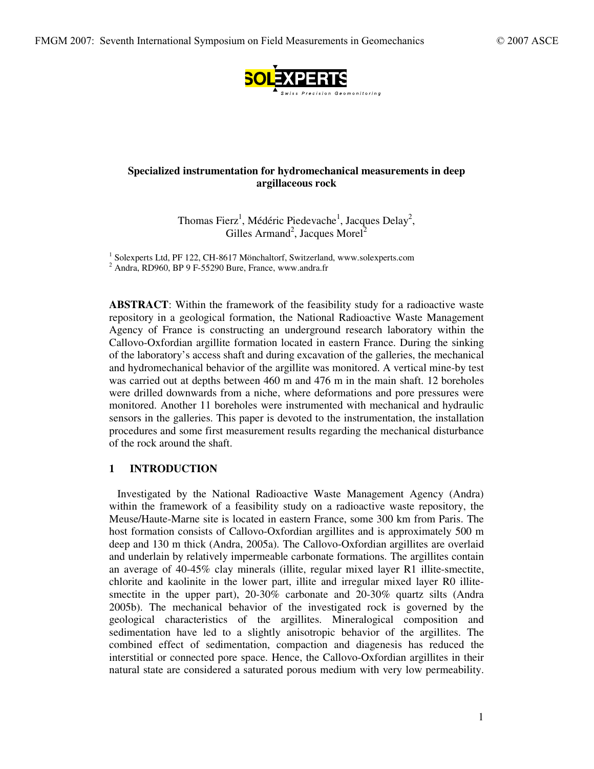

# **Specialized instrumentation for hydromechanical measurements in deep argillaceous rock**

Thomas Fierz<sup>1</sup>, Médéric Piedevache<sup>1</sup>, Jacques Delay<sup>2</sup>, Gilles Armand<sup>2</sup>, Jacques Morel<sup>2</sup>

<sup>1</sup> Solexperts Ltd, PF 122, CH-8617 Mönchaltorf, Switzerland, www.solexperts.com  $2$  Andra. RD960, BP 9 F-55290 Bure, France, www.andra.fr

**ABSTRACT**: Within the framework of the feasibility study for a radioactive waste repository in a geological formation, the National Radioactive Waste Management Agency of France is constructing an underground research laboratory within the Callovo-Oxfordian argillite formation located in eastern France. During the sinking of the laboratory's access shaft and during excavation of the galleries, the mechanical and hydromechanical behavior of the argillite was monitored. A vertical mine-by test was carried out at depths between 460 m and 476 m in the main shaft. 12 boreholes were drilled downwards from a niche, where deformations and pore pressures were monitored. Another 11 boreholes were instrumented with mechanical and hydraulic sensors in the galleries. This paper is devoted to the instrumentation, the installation procedures and some first measurement results regarding the mechanical disturbance of the rock around the shaft.

#### **1 INTRODUCTION**

Investigated by the National Radioactive Waste Management Agency (Andra) within the framework of a feasibility study on a radioactive waste repository, the Meuse/Haute-Marne site is located in eastern France, some 300 km from Paris. The host formation consists of Callovo-Oxfordian argillites and is approximately 500 m deep and 130 m thick (Andra, 2005a). The Callovo-Oxfordian argillites are overlaid and underlain by relatively impermeable carbonate formations. The argillites contain an average of 40-45% clay minerals (illite, regular mixed layer R1 illite-smectite, chlorite and kaolinite in the lower part, illite and irregular mixed layer R0 illitesmectite in the upper part), 20-30% carbonate and 20-30% quartz silts (Andra 2005b). The mechanical behavior of the investigated rock is governed by the geological characteristics of the argillites. Mineralogical composition and sedimentation have led to a slightly anisotropic behavior of the argillites. The combined effect of sedimentation, compaction and diagenesis has reduced the interstitial or connected pore space. Hence, the Callovo-Oxfordian argillites in their natural state are considered a saturated porous medium with very low permeability.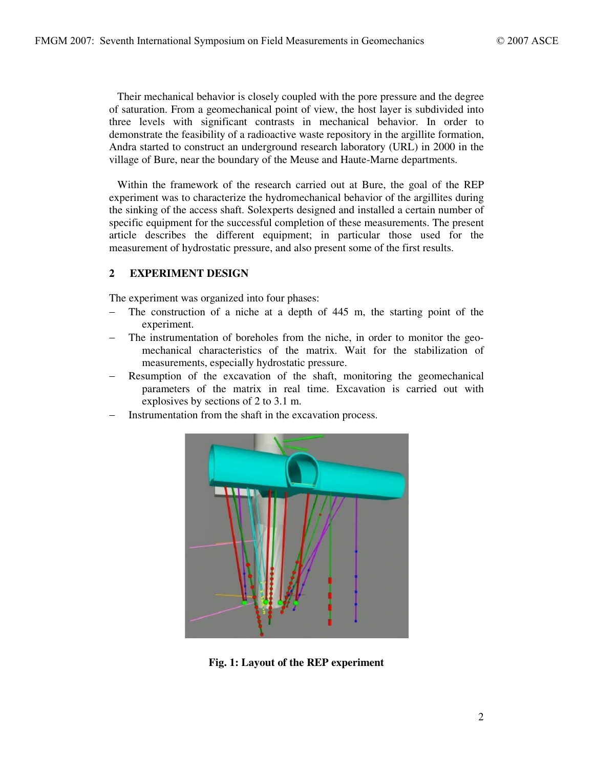Their mechanical behavior is closely coupled with the pore pressure and the degree of saturation. From a geomechanical point of view, the host layer is subdivided into three levels with significant contrasts in mechanical behavior. In order to demonstrate the feasibility of a radioactive waste repository in the argillite formation, Andra started to construct an underground research laboratory (URL) in 2000 in the village of Bure, near the boundary of the Meuse and Haute-Marne departments.

Within the framework of the research carried out at Bure, the goal of the REP experiment was to characterize the hydromechanical behavior of the argillites during the sinking of the access shaft. Solexperts designed and installed a certain number of specific equipment for the successful completion of these measurements. The present article describes the different equipment; in particular those used for the measurement of hydrostatic pressure, and also present some of the first results.

## **2 EXPERIMENT DESIGN**

The experiment was organized into four phases:

- $-$  The construction of a niche at a depth of 445 m, the starting point of the experiment.
- The instrumentation of boreholes from the niche, in order to monitor the geomechanical characteristics of the matrix. Wait for the stabilization of measurements, especially hydrostatic pressure.
- Resumption of the excavation of the shaft, monitoring the geomechanical parameters of the matrix in real time. Excavation is carried out with explosives by sections of 2 to 3.1 m.
- Instrumentation from the shaft in the excavation process.



**Fig. 1: Layout of the REP experiment**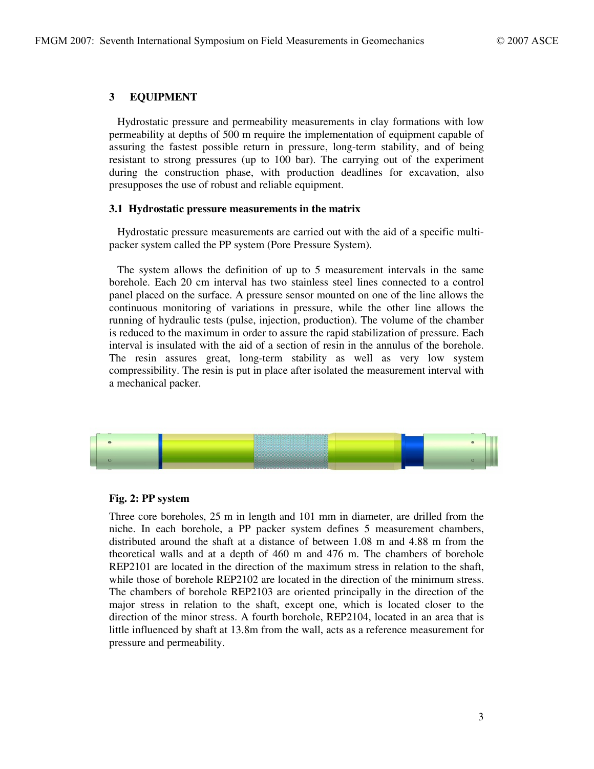## **3 EQUIPMENT**

Hydrostatic pressure and permeability measurements in clay formations with low permeability at depths of 500 m require the implementation of equipment capable of assuring the fastest possible return in pressure, long-term stability, and of being resistant to strong pressures (up to 100 bar). The carrying out of the experiment during the construction phase, with production deadlines for excavation, also presupposes the use of robust and reliable equipment.

#### **3.1 Hydrostatic pressure measurements in the matrix**

Hydrostatic pressure measurements are carried out with the aid of a specific multipacker system called the PP system (Pore Pressure System).

The system allows the definition of up to 5 measurement intervals in the same borehole. Each 20 cm interval has two stainless steel lines connected to a control panel placed on the surface. A pressure sensor mounted on one of the line allows the continuous monitoring of variations in pressure, while the other line allows the running of hydraulic tests (pulse, injection, production). The volume of the chamber is reduced to the maximum in order to assure the rapid stabilization of pressure. Each interval is insulated with the aid of a section of resin in the annulus of the borehole. The resin assures great, long-term stability as well as very low system compressibility. The resin is put in place after isolated the measurement interval with a mechanical packer.



### **Fig. 2: PP system**

Three core boreholes, 25 m in length and 101 mm in diameter, are drilled from the niche. In each borehole, a PP packer system defines 5 measurement chambers, distributed around the shaft at a distance of between 1.08 m and 4.88 m from the theoretical walls and at a depth of 460 m and 476 m. The chambers of borehole REP2101 are located in the direction of the maximum stress in relation to the shaft, while those of borehole REP2102 are located in the direction of the minimum stress. The chambers of borehole REP2103 are oriented principally in the direction of the major stress in relation to the shaft, except one, which is located closer to the direction of the minor stress. A fourth borehole, REP2104, located in an area that is little influenced by shaft at 13.8m from the wall, acts as a reference measurement for pressure and permeability.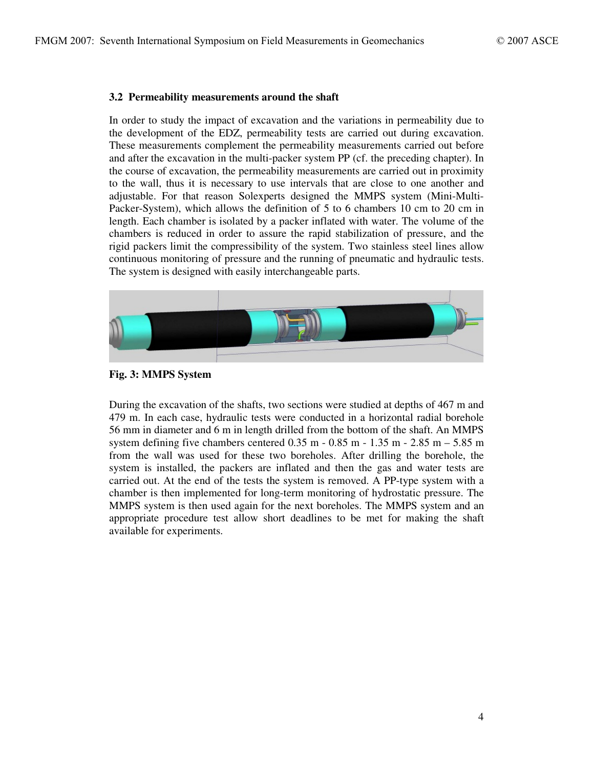### **3.2 Permeability measurements around the shaft**

In order to study the impact of excavation and the variations in permeability due to the development of the EDZ, permeability tests are carried out during excavation. These measurements complement the permeability measurements carried out before and after the excavation in the multi-packer system PP (cf. the preceding chapter). In the course of excavation, the permeability measurements are carried out in proximity to the wall, thus it is necessary to use intervals that are close to one another and adjustable. For that reason Solexperts designed the MMPS system (Mini-Multi-Packer-System), which allows the definition of 5 to 6 chambers 10 cm to 20 cm in length. Each chamber is isolated by a packer inflated with water. The volume of the chambers is reduced in order to assure the rapid stabilization of pressure, and the rigid packers limit the compressibility of the system. Two stainless steel lines allow continuous monitoring of pressure and the running of pneumatic and hydraulic tests. The system is designed with easily interchangeable parts.





During the excavation of the shafts, two sections were studied at depths of 467 m and 479 m. In each case, hydraulic tests were conducted in a horizontal radial borehole 56 mm in diameter and 6 m in length drilled from the bottom of the shaft. An MMPS system defining five chambers centered  $0.35$  m  $- 0.85$  m  $- 1.35$  m  $- 2.85$  m  $- 5.85$  m from the wall was used for these two boreholes. After drilling the borehole, the system is installed, the packers are inflated and then the gas and water tests are carried out. At the end of the tests the system is removed. A PP-type system with a chamber is then implemented for long-term monitoring of hydrostatic pressure. The MMPS system is then used again for the next boreholes. The MMPS system and an appropriate procedure test allow short deadlines to be met for making the shaft available for experiments.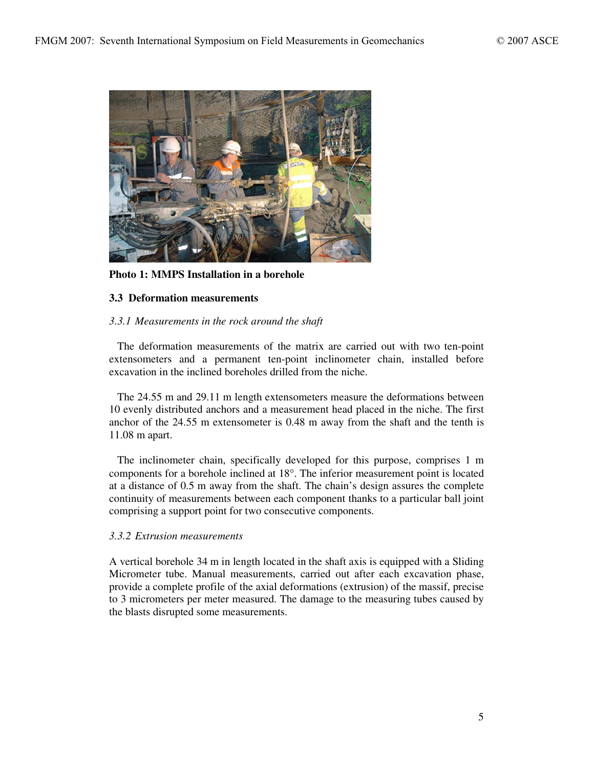

**Photo 1: MMPS Installation in a borehole**

### **3.3 Deformation measurements**

### *3.3.1 Measurements in the rock around the shaft*

The deformation measurements of the matrix are carried out with two ten-point extensometers and a permanent ten-point inclinometer chain, installed before excavation in the inclined boreholes drilled from the niche.

The 24.55 m and 29.11 m length extensometers measure the deformations between 10 evenly distributed anchors and a measurement head placed in the niche. The first anchor of the 24.55 m extensometer is 0.48 m away from the shaft and the tenth is 11.08 m apart.

The inclinometer chain, specifically developed for this purpose, comprises 1 m components for a borehole inclined at 18°. The inferior measurement point is located at a distance of 0.5 m away from the shaft. The chain's design assures the complete continuity of measurements between each component thanks to a particular ball joint comprising a support point for two consecutive components.

### *3.3.2 Extrusion measurements*

A vertical borehole 34 m in length located in the shaft axis is equipped with a Sliding Micrometer tube. Manual measurements, carried out after each excavation phase, provide a complete profile of the axial deformations (extrusion) of the massif, precise to 3 micrometers per meter measured. The damage to the measuring tubes caused by the blasts disrupted some measurements.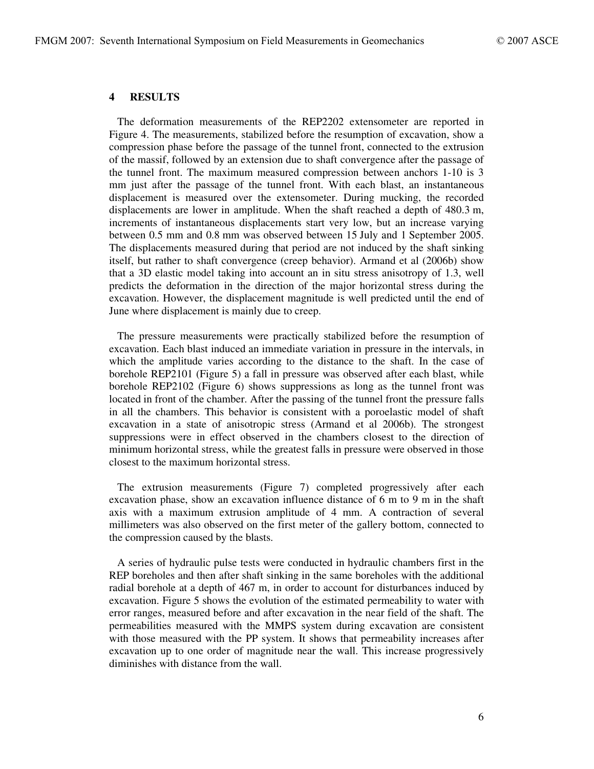### **4 RESULTS**

The deformation measurements of the REP2202 extensometer are reported in Figure 4. The measurements, stabilized before the resumption of excavation, show a compression phase before the passage of the tunnel front, connected to the extrusion of the massif, followed by an extension due to shaft convergence after the passage of the tunnel front. The maximum measured compression between anchors 1-10 is 3 mm just after the passage of the tunnel front. With each blast, an instantaneous displacement is measured over the extensometer. During mucking, the recorded displacements are lower in amplitude. When the shaft reached a depth of 480.3 m, increments of instantaneous displacements start very low, but an increase varying between 0.5 mm and 0.8 mm was observed between 15 July and 1 September 2005. The displacements measured during that period are not induced by the shaft sinking itself, but rather to shaft convergence (creep behavior). Armand et al (2006b) show that a 3D elastic model taking into account an in situ stress anisotropy of 1.3, well predicts the deformation in the direction of the major horizontal stress during the excavation. However, the displacement magnitude is well predicted until the end of June where displacement is mainly due to creep.

The pressure measurements were practically stabilized before the resumption of excavation. Each blast induced an immediate variation in pressure in the intervals, in which the amplitude varies according to the distance to the shaft. In the case of borehole REP2101 (Figure 5) a fall in pressure was observed after each blast, while borehole REP2102 (Figure 6) shows suppressions as long as the tunnel front was located in front of the chamber. After the passing of the tunnel front the pressure falls in all the chambers. This behavior is consistent with a poroelastic model of shaft excavation in a state of anisotropic stress (Armand et al 2006b). The strongest suppressions were in effect observed in the chambers closest to the direction of minimum horizontal stress, while the greatest falls in pressure were observed in those closest to the maximum horizontal stress.

The extrusion measurements (Figure 7) completed progressively after each excavation phase, show an excavation influence distance of 6 m to 9 m in the shaft axis with a maximum extrusion amplitude of 4 mm. A contraction of several millimeters was also observed on the first meter of the gallery bottom, connected to the compression caused by the blasts.

A series of hydraulic pulse tests were conducted in hydraulic chambers first in the REP boreholes and then after shaft sinking in the same boreholes with the additional radial borehole at a depth of 467 m, in order to account for disturbances induced by excavation. Figure 5 shows the evolution of the estimated permeability to water with error ranges, measured before and after excavation in the near field of the shaft. The permeabilities measured with the MMPS system during excavation are consistent with those measured with the PP system. It shows that permeability increases after excavation up to one order of magnitude near the wall. This increase progressively diminishes with distance from the wall.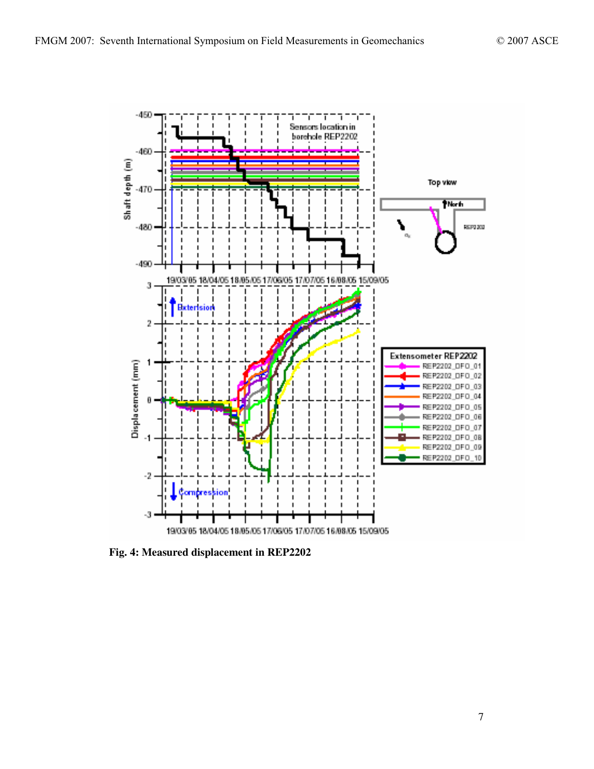

**Fig. 4: Measured displacement in REP2202**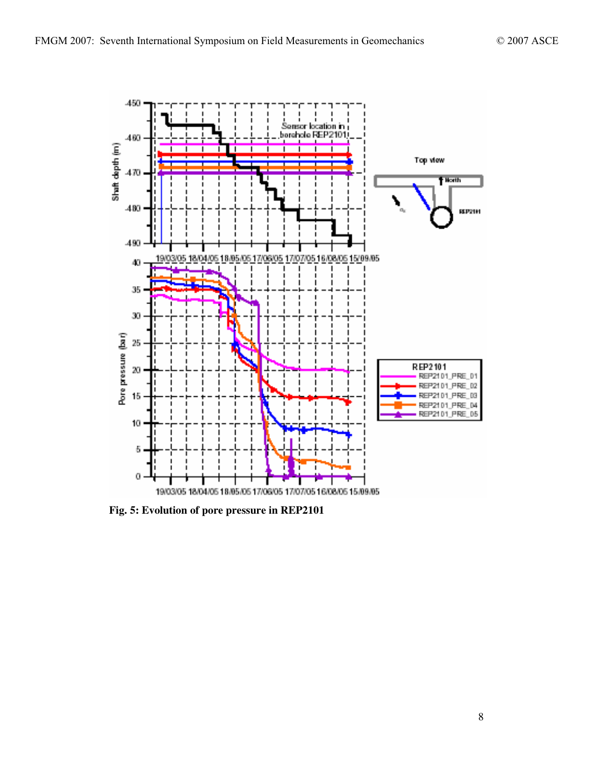

**Fig. 5: Evolution of pore pressure in REP2101**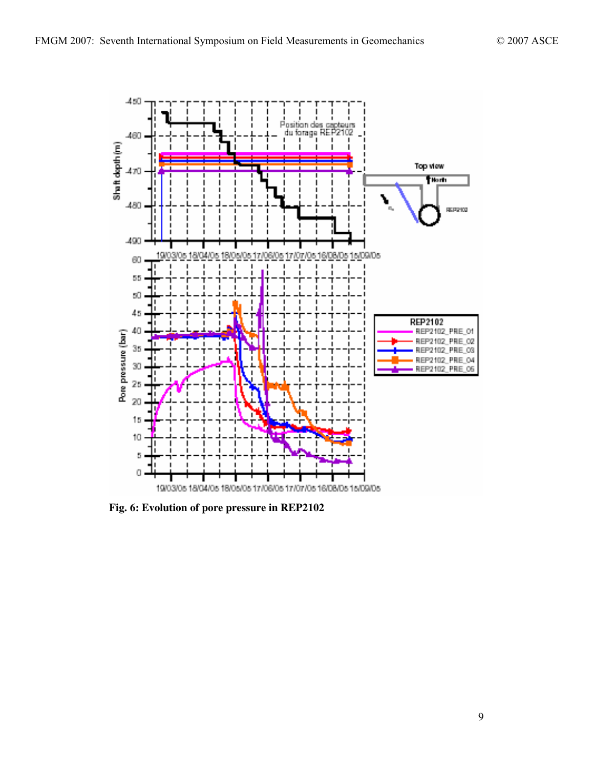

**Fig. 6: Evolution of pore pressure in REP2102**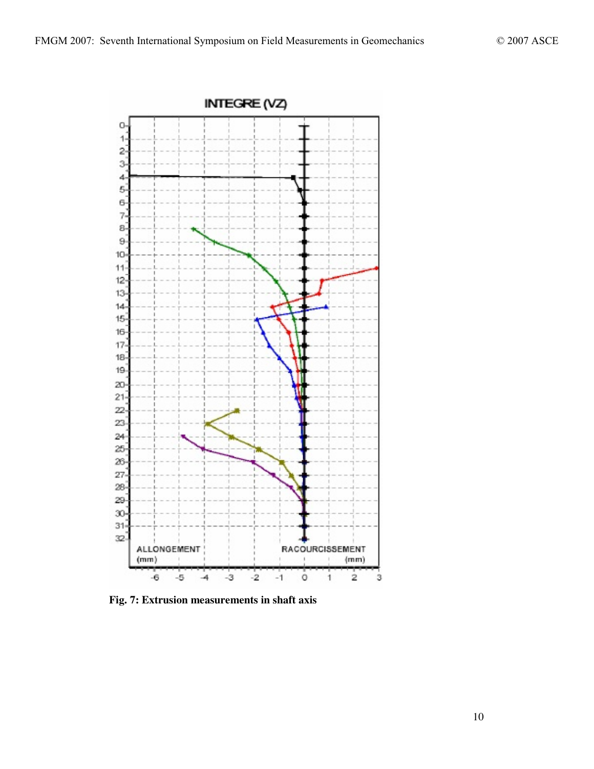

**Fig. 7: Extrusion measurements in shaft axis**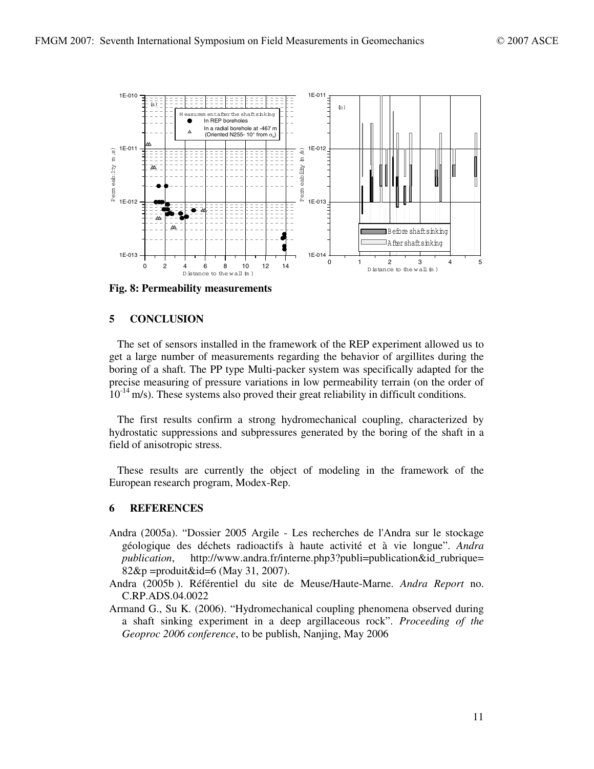

**Fig. 8: Permeability measurements**

## **5 CONCLUSION**

The set of sensors installed in the framework of the REP experiment allowed us to get a large number of measurements regarding the behavior of argillites during the boring of a shaft. The PP type Multi-packer system was specifically adapted for the precise measuring of pressure variations in low permeability terrain (on the order of  $10^{-14}$  m/s). These systems also proved their great reliability in difficult conditions.

The first results confirm a strong hydromechanical coupling, characterized by hydrostatic suppressions and subpressures generated by the boring of the shaft in a field of anisotropic stress.

These results are currently the object of modeling in the framework of the European research program, Modex-Rep.

### **6 REFERENCES**

- Andra (2005a). "Dossier 2005 Argile Les recherches de l'Andra sur le stockage géologique des déchets radioactifs à haute activité et à vie longue". *Andra publication*, http://www.andra.fr/interne.php3?publi=publication&id\_rubrique= 82&p =produit&id=6 (May 31, 2007).
- Andra (2005b ). Référentiel du site de Meuse/Haute-Marne. *Andra Report* no. C.RP.ADS.04.0022
- Armand G., Su K. (2006). "Hydromechanical coupling phenomena observed during a shaft sinking experiment in a deep argillaceous rock". *Proceeding of the Geoproc 2006 conference*, to be publish, Nanjing, May 2006